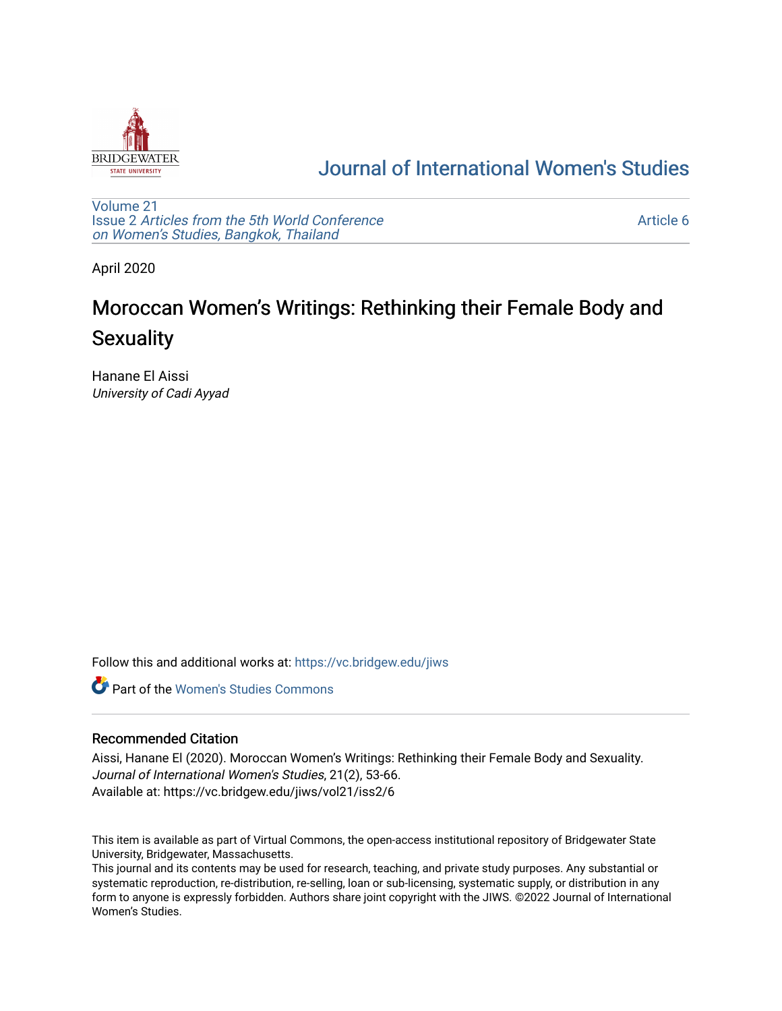

## [Journal of International Women's Studies](https://vc.bridgew.edu/jiws)

[Volume 21](https://vc.bridgew.edu/jiws/vol21) Issue 2 [Articles from the 5th World Conference](https://vc.bridgew.edu/jiws/vol21/iss2) [on Women's Studies, Bangkok, Thailand](https://vc.bridgew.edu/jiws/vol21/iss2) 

[Article 6](https://vc.bridgew.edu/jiws/vol21/iss2/6) 

April 2020

# Moroccan Women's Writings: Rethinking their Female Body and **Sexuality**

Hanane El Aissi University of Cadi Ayyad

Follow this and additional works at: [https://vc.bridgew.edu/jiws](https://vc.bridgew.edu/jiws?utm_source=vc.bridgew.edu%2Fjiws%2Fvol21%2Fiss2%2F6&utm_medium=PDF&utm_campaign=PDFCoverPages)

**C** Part of the Women's Studies Commons

#### Recommended Citation

Aissi, Hanane El (2020). Moroccan Women's Writings: Rethinking their Female Body and Sexuality. Journal of International Women's Studies, 21(2), 53-66. Available at: https://vc.bridgew.edu/jiws/vol21/iss2/6

This item is available as part of Virtual Commons, the open-access institutional repository of Bridgewater State University, Bridgewater, Massachusetts.

This journal and its contents may be used for research, teaching, and private study purposes. Any substantial or systematic reproduction, re-distribution, re-selling, loan or sub-licensing, systematic supply, or distribution in any form to anyone is expressly forbidden. Authors share joint copyright with the JIWS. ©2022 Journal of International Women's Studies.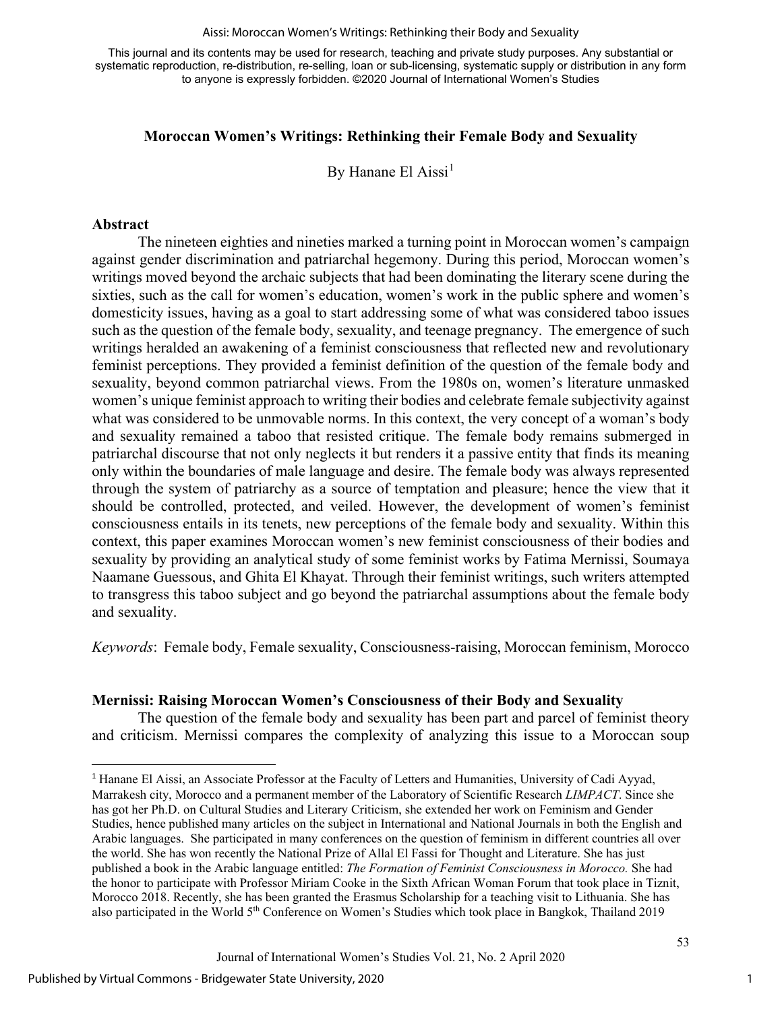#### Aissi: Moroccan Women's Writings: Rethinking their Body and Sexuality

This journal and its contents may be used for research, teaching and private study purposes. Any substantial or systematic reproduction, re-distribution, re-selling, loan or sub-licensing, systematic supply or distribution in any form to anyone is expressly forbidden. ©2020 Journal of International Women's Studies

### **Moroccan Women's Writings: Rethinking their Female Body and Sexuality**

By Hanane El Aissi<sup>[1](#page-1-0)</sup>

#### **Abstract**

 The nineteen eighties and nineties marked a turning point in Moroccan women's campaign against gender discrimination and patriarchal hegemony. During this period, Moroccan women's writings moved beyond the archaic subjects that had been dominating the literary scene during the sixties, such as the call for women's education, women's work in the public sphere and women's domesticity issues, having as a goal to start addressing some of what was considered taboo issues such as the question of the female body, sexuality, and teenage pregnancy. The emergence of such writings heralded an awakening of a feminist consciousness that reflected new and revolutionary feminist perceptions. They provided a feminist definition of the question of the female body and sexuality, beyond common patriarchal views. From the 1980s on, women's literature unmasked women's unique feminist approach to writing their bodies and celebrate female subjectivity against what was considered to be unmovable norms. In this context, the very concept of a woman's body and sexuality remained a taboo that resisted critique. The female body remains submerged in patriarchal discourse that not only neglects it but renders it a passive entity that finds its meaning only within the boundaries of male language and desire. The female body was always represented through the system of patriarchy as a source of temptation and pleasure; hence the view that it should be controlled, protected, and veiled. However, the development of women's feminist consciousness entails in its tenets, new perceptions of the female body and sexuality. Within this context, this paper examines Moroccan women's new feminist consciousness of their bodies and sexuality by providing an analytical study of some feminist works by Fatima Mernissi, Soumaya Naamane Guessous, and Ghita El Khayat. Through their feminist writings, such writers attempted to transgress this taboo subject and go beyond the patriarchal assumptions about the female body and sexuality.

*Keywords*: Female body, Female sexuality, Consciousness-raising, Moroccan feminism, Morocco

#### **Mernissi: Raising Moroccan Women's Consciousness of their Body and Sexuality**

The question of the female body and sexuality has been part and parcel of feminist theory and criticism. Mernissi compares the complexity of analyzing this issue to a Moroccan soup

<span id="page-1-0"></span><sup>1</sup> Hanane El Aissi, an Associate Professor at the Faculty of Letters and Humanities, University of Cadi Ayyad, Marrakesh city, Morocco and a permanent member of the Laboratory of Scientific Research *LIMPACT*. Since she has got her Ph.D. on Cultural Studies and Literary Criticism, she extended her work on Feminism and Gender Studies, hence published many articles on the subject in International and National Journals in both the English and Arabic languages. She participated in many conferences on the question of feminism in different countries all over the world. She has won recently the National Prize of Allal El Fassi for Thought and Literature. She has just published a book in the Arabic language entitled: *The Formation of Feminist Consciousness in Morocco.* She had the honor to participate with Professor Miriam Cooke in the Sixth African Woman Forum that took place in Tiznit, Morocco 2018. Recently, she has been granted the Erasmus Scholarship for a teaching visit to Lithuania. She has also participated in the World 5th Conference on Women's Studies which took place in Bangkok, Thailand 2019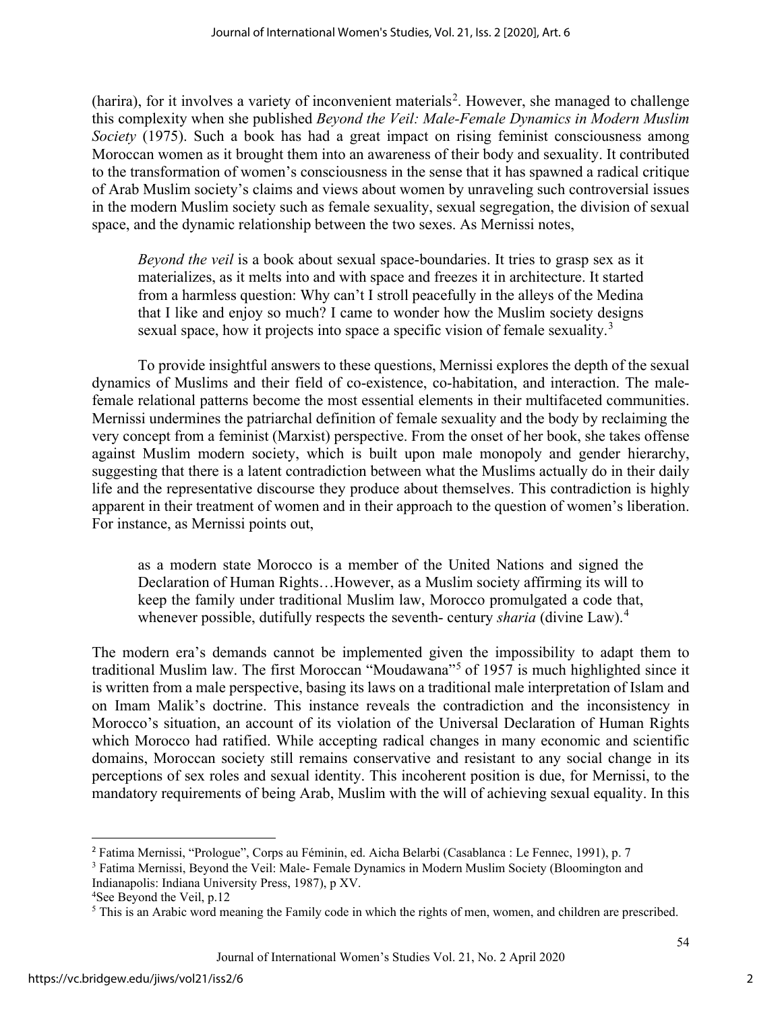(harira), for it involves a variety of inconvenient materials<sup>[2](#page-2-0)</sup>. However, she managed to challenge this complexity when she published *Beyond the Veil: Male-Female Dynamics in Modern Muslim Society* (1975). Such a book has had a great impact on rising feminist consciousness among Moroccan women as it brought them into an awareness of their body and sexuality. It contributed to the transformation of women's consciousness in the sense that it has spawned a radical critique of Arab Muslim society's claims and views about women by unraveling such controversial issues in the modern Muslim society such as female sexuality, sexual segregation, the division of sexual space, and the dynamic relationship between the two sexes. As Mernissi notes,

*Beyond the veil* is a book about sexual space-boundaries. It tries to grasp sex as it materializes, as it melts into and with space and freezes it in architecture. It started from a harmless question: Why can't I stroll peacefully in the alleys of the Medina that I like and enjoy so much? I came to wonder how the Muslim society designs sexual space, how it projects into space a specific vision of female sexuality.<sup>[3](#page-2-1)</sup>

To provide insightful answers to these questions, Mernissi explores the depth of the sexual dynamics of Muslims and their field of co-existence, co-habitation, and interaction. The malefemale relational patterns become the most essential elements in their multifaceted communities. Mernissi undermines the patriarchal definition of female sexuality and the body by reclaiming the very concept from a feminist (Marxist) perspective. From the onset of her book, she takes offense against Muslim modern society, which is built upon male monopoly and gender hierarchy, suggesting that there is a latent contradiction between what the Muslims actually do in their daily life and the representative discourse they produce about themselves. This contradiction is highly apparent in their treatment of women and in their approach to the question of women's liberation. For instance, as Mernissi points out,

as a modern state Morocco is a member of the United Nations and signed the Declaration of Human Rights…However, as a Muslim society affirming its will to keep the family under traditional Muslim law, Morocco promulgated a code that, whenever possible, dutifully respects the seventh- century *sharia* (divine Law).<sup>[4](#page-2-2)</sup>

The modern era's demands cannot be implemented given the impossibility to adapt them to traditional Muslim law. The first Moroccan "Moudawana"[5](#page-2-3) of 1957 is much highlighted since it is written from a male perspective, basing its laws on a traditional male interpretation of Islam and on Imam Malik's doctrine. This instance reveals the contradiction and the inconsistency in Morocco's situation, an account of its violation of the Universal Declaration of Human Rights which Morocco had ratified. While accepting radical changes in many economic and scientific domains, Moroccan society still remains conservative and resistant to any social change in its perceptions of sex roles and sexual identity. This incoherent position is due, for Mernissi, to the mandatory requirements of being Arab, Muslim with the will of achieving sexual equality. In this

<sup>2</sup> Fatima Mernissi, "Prologue", Corps au Féminin, ed. Aicha Belarbi (Casablanca : Le Fennec, 1991), p. 7

<span id="page-2-1"></span><span id="page-2-0"></span><sup>&</sup>lt;sup>3</sup> Fatima Mernissi, Beyond the Veil: Male- Female Dynamics in Modern Muslim Society (Bloomington and Indianapolis: Indiana University Press, 1987), p XV.

<span id="page-2-2"></span><sup>4</sup> See Beyond the Veil, p.12

<span id="page-2-3"></span><sup>&</sup>lt;sup>5</sup> This is an Arabic word meaning the Family code in which the rights of men, women, and children are prescribed.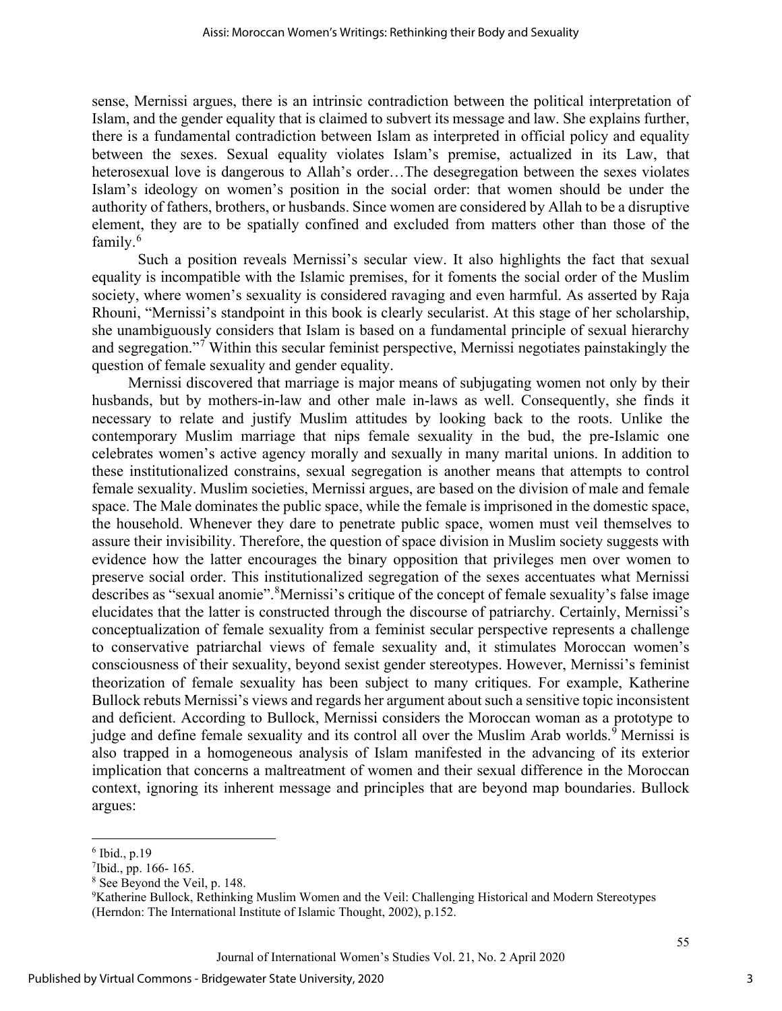sense, Mernissi argues, there is an intrinsic contradiction between the political interpretation of Islam, and the gender equality that is claimed to subvert its message and law. She explains further, there is a fundamental contradiction between Islam as interpreted in official policy and equality between the sexes. Sexual equality violates Islam's premise, actualized in its Law, that heterosexual love is dangerous to Allah's order…The desegregation between the sexes violates Islam's ideology on women's position in the social order: that women should be under the authority of fathers, brothers, or husbands. Since women are considered by Allah to be a disruptive element, they are to be spatially confined and excluded from matters other than those of the family.[6](#page-3-0)

Such a position reveals Mernissi's secular view. It also highlights the fact that sexual equality is incompatible with the Islamic premises, for it foments the social order of the Muslim society, where women's sexuality is considered ravaging and even harmful. As asserted by Raja Rhouni, "Mernissi's standpoint in this book is clearly secularist. At this stage of her scholarship, she unambiguously considers that Islam is based on a fundamental principle of sexual hierarchy and segregation."[7](#page-3-1) Within this secular feminist perspective, Mernissi negotiates painstakingly the question of female sexuality and gender equality.

Mernissi discovered that marriage is major means of subjugating women not only by their husbands, but by mothers-in-law and other male in-laws as well. Consequently, she finds it necessary to relate and justify Muslim attitudes by looking back to the roots. Unlike the contemporary Muslim marriage that nips female sexuality in the bud, the pre-Islamic one celebrates women's active agency morally and sexually in many marital unions. In addition to these institutionalized constrains, sexual segregation is another means that attempts to control female sexuality. Muslim societies, Mernissi argues, are based on the division of male and female space. The Male dominates the public space, while the female is imprisoned in the domestic space, the household. Whenever they dare to penetrate public space, women must veil themselves to assure their invisibility. Therefore, the question of space division in Muslim society suggests with evidence how the latter encourages the binary opposition that privileges men over women to preserve social order. This institutionalized segregation of the sexes accentuates what Mernissi describes as "sexual anomie". <sup>[8](#page-3-2)</sup>Mernissi's critique of the concept of female sexuality's false image elucidates that the latter is constructed through the discourse of patriarchy. Certainly, Mernissi's conceptualization of female sexuality from a feminist secular perspective represents a challenge to conservative patriarchal views of female sexuality and, it stimulates Moroccan women's consciousness of their sexuality, beyond sexist gender stereotypes. However, Mernissi's feminist theorization of female sexuality has been subject to many critiques. For example, Katherine Bullock rebuts Mernissi's views and regards her argument about such a sensitive topic inconsistent and deficient. According to Bullock, Mernissi considers the Moroccan woman as a prototype to judge and define female sexuality and its control all over the Muslim Arab worlds.<sup>[9](#page-3-3)</sup> Mernissi is also trapped in a homogeneous analysis of Islam manifested in the advancing of its exterior implication that concerns a maltreatment of women and their sexual difference in the Moroccan context, ignoring its inherent message and principles that are beyond map boundaries. Bullock argues:

<span id="page-3-0"></span> $6$  Ibid., p.19

<span id="page-3-1"></span><sup>7</sup> Ibid., pp. 166- 165.

<span id="page-3-2"></span><sup>8</sup> See Beyond the Veil, p. 148.

<span id="page-3-3"></span><sup>9</sup> Katherine Bullock, Rethinking Muslim Women and the Veil: Challenging Historical and Modern Stereotypes (Herndon: The International Institute of Islamic Thought, 2002), p.152.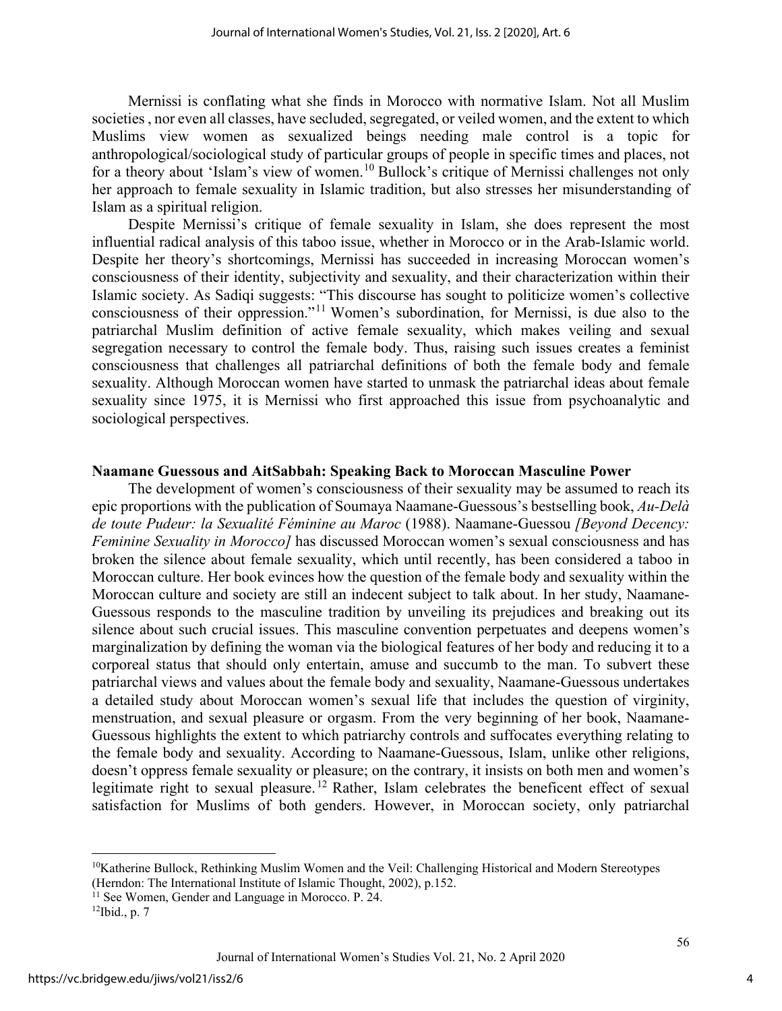Mernissi is conflating what she finds in Morocco with normative Islam. Not all Muslim societies , nor even all classes, have secluded, segregated, or veiled women, and the extent to which Muslims view women as sexualized beings needing male control is a topic for anthropological/sociological study of particular groups of people in specific times and places, not for a theory about 'Islam's view of women.<sup>[10](#page-4-0)</sup> Bullock's critique of Mernissi challenges not only her approach to female sexuality in Islamic tradition, but also stresses her misunderstanding of Islam as a spiritual religion.

Despite Mernissi's critique of female sexuality in Islam, she does represent the most influential radical analysis of this taboo issue, whether in Morocco or in the Arab-Islamic world. Despite her theory's shortcomings, Mernissi has succeeded in increasing Moroccan women's consciousness of their identity, subjectivity and sexuality, and their characterization within their Islamic society. As Sadiqi suggests: "This discourse has sought to politicize women's collective consciousness of their oppression."[11](#page-4-1) Women's subordination, for Mernissi, is due also to the patriarchal Muslim definition of active female sexuality, which makes veiling and sexual segregation necessary to control the female body. Thus, raising such issues creates a feminist consciousness that challenges all patriarchal definitions of both the female body and female sexuality. Although Moroccan women have started to unmask the patriarchal ideas about female sexuality since 1975, it is Mernissi who first approached this issue from psychoanalytic and sociological perspectives.

#### **Naamane Guessous and AitSabbah: Speaking Back to Moroccan Masculine Power**

The development of women's consciousness of their sexuality may be assumed to reach its epic proportions with the publication of Soumaya Naamane-Guessous's bestselling book, *Au-Delà de toute Pudeur: la Sexualité Féminine au Maroc* (1988). Naamane-Guessou *[Beyond Decency: Feminine Sexuality in Morocco]* has discussed Moroccan women's sexual consciousness and has broken the silence about female sexuality, which until recently, has been considered a taboo in Moroccan culture. Her book evinces how the question of the female body and sexuality within the Moroccan culture and society are still an indecent subject to talk about. In her study, Naamane-Guessous responds to the masculine tradition by unveiling its prejudices and breaking out its silence about such crucial issues. This masculine convention perpetuates and deepens women's marginalization by defining the woman via the biological features of her body and reducing it to a corporeal status that should only entertain, amuse and succumb to the man. To subvert these patriarchal views and values about the female body and sexuality, Naamane-Guessous undertakes a detailed study about Moroccan women's sexual life that includes the question of virginity, menstruation, and sexual pleasure or orgasm. From the very beginning of her book, Naamane-Guessous highlights the extent to which patriarchy controls and suffocates everything relating to the female body and sexuality. According to Naamane-Guessous, Islam, unlike other religions, doesn't oppress female sexuality or pleasure; on the contrary, it insists on both men and women's legitimate right to sexual pleasure.<sup>[12](#page-4-2)</sup> Rather, Islam celebrates the beneficent effect of sexual satisfaction for Muslims of both genders. However, in Moroccan society, only patriarchal

<span id="page-4-0"></span><sup>&</sup>lt;sup>10</sup>Katherine Bullock, Rethinking Muslim Women and the Veil: Challenging Historical and Modern Stereotypes (Herndon: The International Institute of Islamic Thought, 2002), p.152.

<span id="page-4-1"></span><sup>&</sup>lt;sup>11</sup> See Women, Gender and Language in Morocco. P. 24.

<span id="page-4-2"></span> $12$ Ibid., p. 7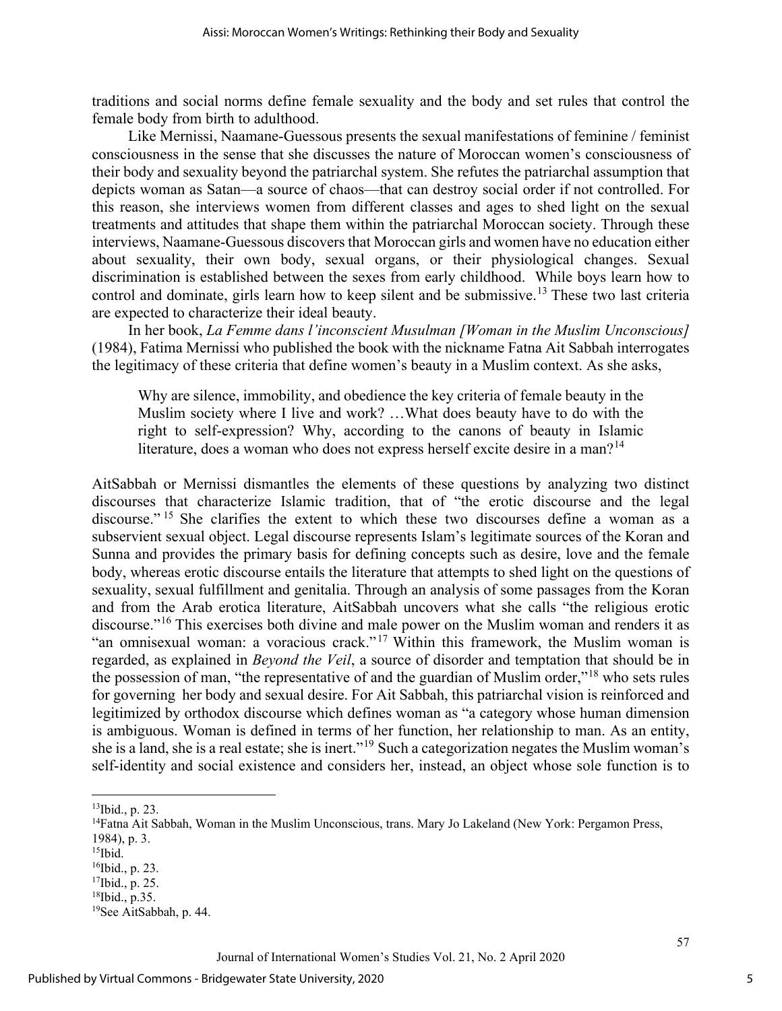traditions and social norms define female sexuality and the body and set rules that control the female body from birth to adulthood.

Like Mernissi, Naamane-Guessous presents the sexual manifestations of feminine / feminist consciousness in the sense that she discusses the nature of Moroccan women's consciousness of their body and sexuality beyond the patriarchal system. She refutes the patriarchal assumption that depicts woman as Satan—a source of chaos—that can destroy social order if not controlled. For this reason, she interviews women from different classes and ages to shed light on the sexual treatments and attitudes that shape them within the patriarchal Moroccan society. Through these interviews, Naamane-Guessous discovers that Moroccan girls and women have no education either about sexuality, their own body, sexual organs, or their physiological changes. Sexual discrimination is established between the sexes from early childhood. While boys learn how to control and dominate, girls learn how to keep silent and be submissive.<sup>[13](#page-5-0)</sup> These two last criteria are expected to characterize their ideal beauty.

In her book, *La Femme dans l'inconscient Musulman [Woman in the Muslim Unconscious]* (1984), Fatima Mernissi who published the book with the nickname Fatna Ait Sabbah interrogates the legitimacy of these criteria that define women's beauty in a Muslim context. As she asks,

Why are silence, immobility, and obedience the key criteria of female beauty in the Muslim society where I live and work? …What does beauty have to do with the right to self-expression? Why, according to the canons of beauty in Islamic literature, does a woman who does not express herself excite desire in a man?<sup>[14](#page-5-1)</sup>

AitSabbah or Mernissi dismantles the elements of these questions by analyzing two distinct discourses that characterize Islamic tradition, that of "the erotic discourse and the legal discourse." <sup>[15](#page-5-2)</sup> She clarifies the extent to which these two discourses define a woman as a subservient sexual object. Legal discourse represents Islam's legitimate sources of the Koran and Sunna and provides the primary basis for defining concepts such as desire, love and the female body, whereas erotic discourse entails the literature that attempts to shed light on the questions of sexuality, sexual fulfillment and genitalia. Through an analysis of some passages from the Koran and from the Arab erotica literature, AitSabbah uncovers what she calls "the religious erotic discourse."[16](#page-5-3) This exercises both divine and male power on the Muslim woman and renders it as "an omnisexual woman: a voracious crack."<sup>[17](#page-5-4)</sup> Within this framework, the Muslim woman is regarded, as explained in *Beyond the Veil*, a source of disorder and temptation that should be in the possession of man, "the representative of and the guardian of Muslim order,"[18](#page-5-5) who sets rules for governing her body and sexual desire. For Ait Sabbah, this patriarchal vision is reinforced and legitimized by orthodox discourse which defines woman as "a category whose human dimension is ambiguous. Woman is defined in terms of her function, her relationship to man. As an entity, she is a land, she is a real estate; she is inert."[19](#page-5-6) Such a categorization negates the Muslim woman's self-identity and social existence and considers her, instead, an object whose sole function is to

<sup>13</sup>Ibid., p. 23.

<span id="page-5-1"></span><span id="page-5-0"></span><sup>&</sup>lt;sup>14</sup>Fatna Ait Sabbah, Woman in the Muslim Unconscious, trans. Mary Jo Lakeland (New York: Pergamon Press, 1984), p. 3.

<span id="page-5-2"></span> $15$ Ibid.

<span id="page-5-3"></span><sup>16</sup>Ibid., p. 23.

<span id="page-5-4"></span><sup>17</sup>Ibid., p. 25.

<span id="page-5-5"></span><sup>18</sup>Ibid., p.35.

<span id="page-5-6"></span><sup>19</sup>See AitSabbah, p. 44.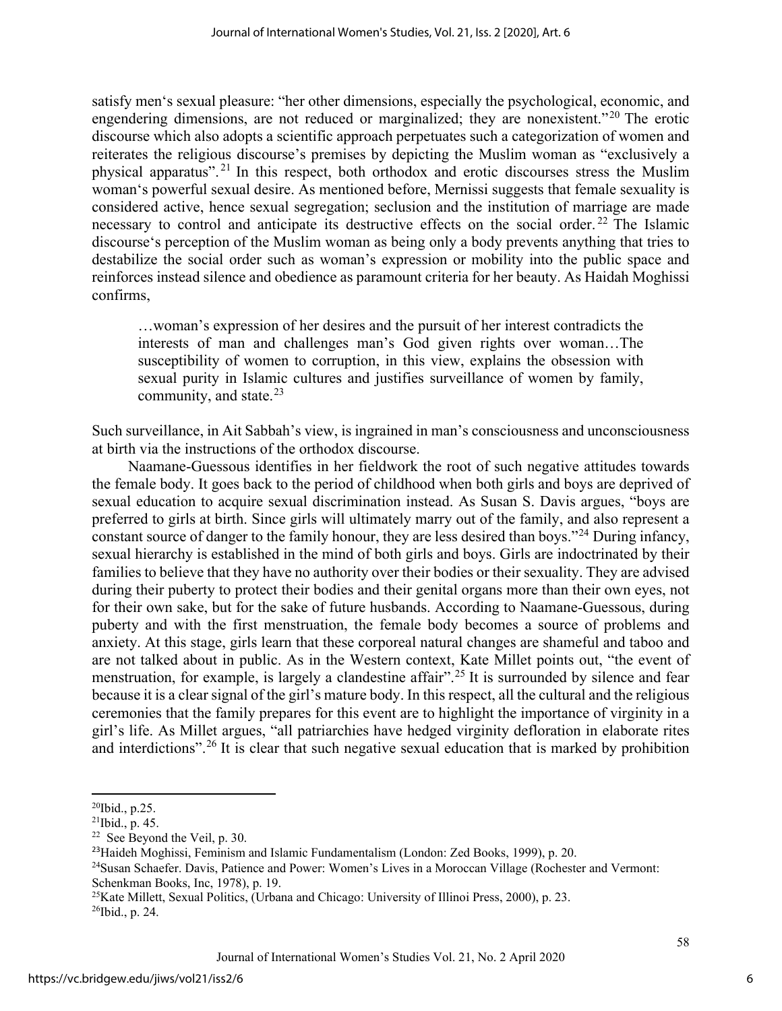satisfy men's sexual pleasure: "her other dimensions, especially the psychological, economic, and engendering dimensions, are not reduced or marginalized; they are nonexistent."[20](#page-6-0) The erotic discourse which also adopts a scientific approach perpetuates such a categorization of women and reiterates the religious discourse's premises by depicting the Muslim woman as "exclusively a physical apparatus". [21](#page-6-1) In this respect, both orthodox and erotic discourses stress the Muslim woman's powerful sexual desire. As mentioned before, Mernissi suggests that female sexuality is considered active, hence sexual segregation; seclusion and the institution of marriage are made necessary to control and anticipate its destructive effects on the social order.<sup>[22](#page-6-2)</sup> The Islamic discourse's perception of the Muslim woman as being only a body prevents anything that tries to destabilize the social order such as woman's expression or mobility into the public space and reinforces instead silence and obedience as paramount criteria for her beauty. As Haidah Moghissi confirms,

…woman's expression of her desires and the pursuit of her interest contradicts the interests of man and challenges man's God given rights over woman…The susceptibility of women to corruption, in this view, explains the obsession with sexual purity in Islamic cultures and justifies surveillance of women by family, community, and state. $2<sup>3</sup>$ 

Such surveillance, in Ait Sabbah's view, is ingrained in man's consciousness and unconsciousness at birth via the instructions of the orthodox discourse.

Naamane-Guessous identifies in her fieldwork the root of such negative attitudes towards the female body. It goes back to the period of childhood when both girls and boys are deprived of sexual education to acquire sexual discrimination instead. As Susan S. Davis argues, "boys are preferred to girls at birth. Since girls will ultimately marry out of the family, and also represent a constant source of danger to the family honour, they are less desired than boys."[24](#page-6-4) During infancy, sexual hierarchy is established in the mind of both girls and boys. Girls are indoctrinated by their families to believe that they have no authority over their bodies or their sexuality. They are advised during their puberty to protect their bodies and their genital organs more than their own eyes, not for their own sake, but for the sake of future husbands. According to Naamane-Guessous, during puberty and with the first menstruation, the female body becomes a source of problems and anxiety. At this stage, girls learn that these corporeal natural changes are shameful and taboo and are not talked about in public. As in the Western context, Kate Millet points out, "the event of menstruation, for example, is largely a clandestine affair".<sup>[25](#page-6-5)</sup> It is surrounded by silence and fear because it is a clear signal of the girl's mature body. In this respect, all the cultural and the religious ceremonies that the family prepares for this event are to highlight the importance of virginity in a girl's life. As Millet argues, "all patriarchies have hedged virginity defloration in elaborate rites and interdictions".<sup>[26](#page-6-6)</sup> It is clear that such negative sexual education that is marked by prohibition

<span id="page-6-0"></span><sup>20</sup>Ibid., p.25.

<span id="page-6-1"></span> $21$ Ibid., p. 45.

<span id="page-6-2"></span><sup>22</sup> See Beyond the Veil, p. 30.

<span id="page-6-3"></span><sup>23</sup>Haideh Moghissi, Feminism and Islamic Fundamentalism (London: Zed Books, 1999), p. 20.

<span id="page-6-4"></span><sup>24</sup>Susan Schaefer. Davis, Patience and Power: Women's Lives in a Moroccan Village (Rochester and Vermont: Schenkman Books, Inc, 1978), p. 19.

<span id="page-6-6"></span><span id="page-6-5"></span><sup>25</sup>Kate Millett, Sexual Politics, (Urbana and Chicago: University of Illinoi Press, 2000), p. 23. 26Ibid., p. 24.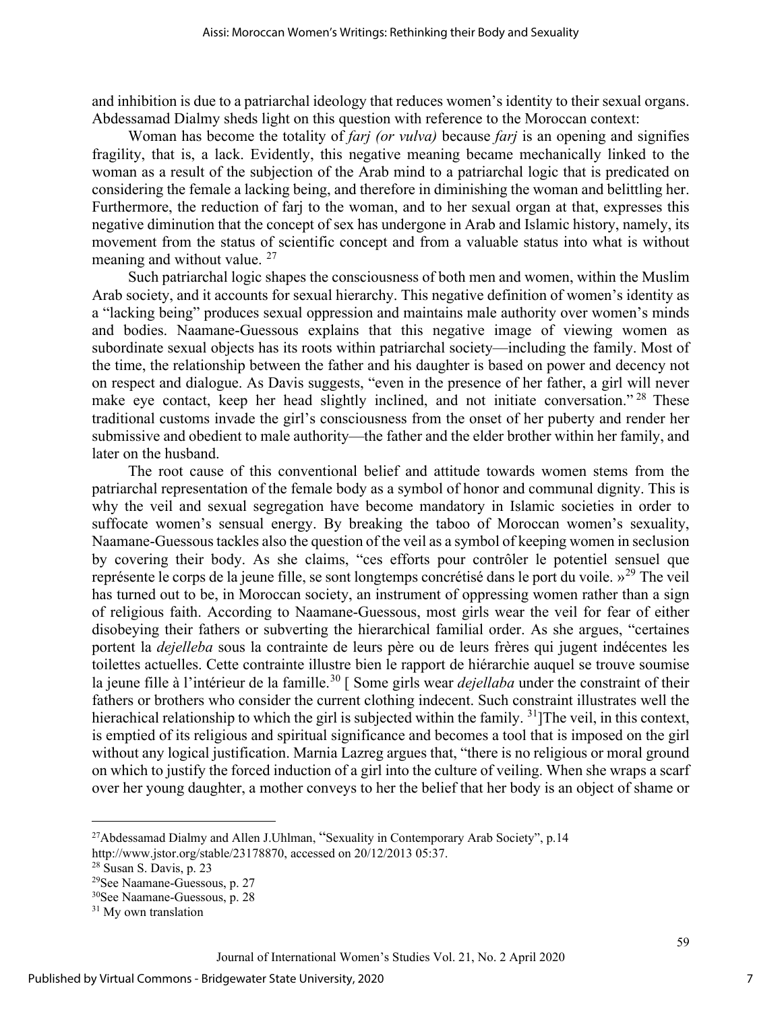and inhibition is due to a patriarchal ideology that reduces women's identity to their sexual organs. Abdessamad Dialmy sheds light on this question with reference to the Moroccan context:

Woman has become the totality of *farj (or vulva)* because *farj* is an opening and signifies fragility, that is, a lack. Evidently, this negative meaning became mechanically linked to the woman as a result of the subjection of the Arab mind to a patriarchal logic that is predicated on considering the female a lacking being, and therefore in diminishing the woman and belittling her. Furthermore, the reduction of farj to the woman, and to her sexual organ at that, expresses this negative diminution that the concept of sex has undergone in Arab and Islamic history, namely, its movement from the status of scientific concept and from a valuable status into what is without meaning and without value. <sup>[27](#page-7-0)</sup>

Such patriarchal logic shapes the consciousness of both men and women, within the Muslim Arab society, and it accounts for sexual hierarchy. This negative definition of women's identity as a "lacking being" produces sexual oppression and maintains male authority over women's minds and bodies. Naamane-Guessous explains that this negative image of viewing women as subordinate sexual objects has its roots within patriarchal society—including the family. Most of the time, the relationship between the father and his daughter is based on power and decency not on respect and dialogue. As Davis suggests, "even in the presence of her father, a girl will never make eye contact, keep her head slightly inclined, and not initiate conversation."<sup>[28](#page-7-1)</sup> These traditional customs invade the girl's consciousness from the onset of her puberty and render her submissive and obedient to male authority—the father and the elder brother within her family, and later on the husband.

The root cause of this conventional belief and attitude towards women stems from the patriarchal representation of the female body as a symbol of honor and communal dignity. This is why the veil and sexual segregation have become mandatory in Islamic societies in order to suffocate women's sensual energy. By breaking the taboo of Moroccan women's sexuality, Naamane-Guessous tackles also the question of the veil as a symbol of keeping women in seclusion by covering their body. As she claims, "ces efforts pour contrôler le potentiel sensuel que représente le corps de la jeune fille, se sont longtemps concrétisé dans le port du voile. »[29](#page-7-2) The veil has turned out to be, in Moroccan society, an instrument of oppressing women rather than a sign of religious faith. According to Naamane-Guessous, most girls wear the veil for fear of either disobeying their fathers or subverting the hierarchical familial order. As she argues, "certaines portent la *dejelleba* sous la contrainte de leurs père ou de leurs frères qui jugent indécentes les toilettes actuelles. Cette contrainte illustre bien le rapport de hiérarchie auquel se trouve soumise la jeune fille à l'intérieur de la famille.<sup>[30](#page-7-3)</sup> [ Some girls wear *dejellaba* under the constraint of their fathers or brothers who consider the current clothing indecent. Such constraint illustrates well the hierachical relationship to which the girl is subjected within the family. <sup>31</sup>] The veil, in this context, is emptied of its religious and spiritual significance and becomes a tool that is imposed on the girl without any logical justification. Marnia Lazreg argues that, "there is no religious or moral ground on which to justify the forced induction of a girl into the culture of veiling. When she wraps a scarf over her young daughter, a mother conveys to her the belief that her body is an object of shame or

<span id="page-7-0"></span><sup>&</sup>lt;sup>27</sup>Abdessamad Dialmy and Allen J.Uhlman, "Sexuality in Contemporary Arab Society", p.14

[http://www.jstor.org/stable/23178870,](http://www.jstor.org/stable/23178870) accessed on 20/12/2013 05:37.

<span id="page-7-1"></span><sup>28</sup> Susan S. Davis, p. 23

<span id="page-7-2"></span><sup>29</sup>See Naamane-Guessous, p. 27

<span id="page-7-3"></span><sup>30</sup>See Naamane-Guessous, p. 28

<sup>&</sup>lt;sup>31</sup> My own translation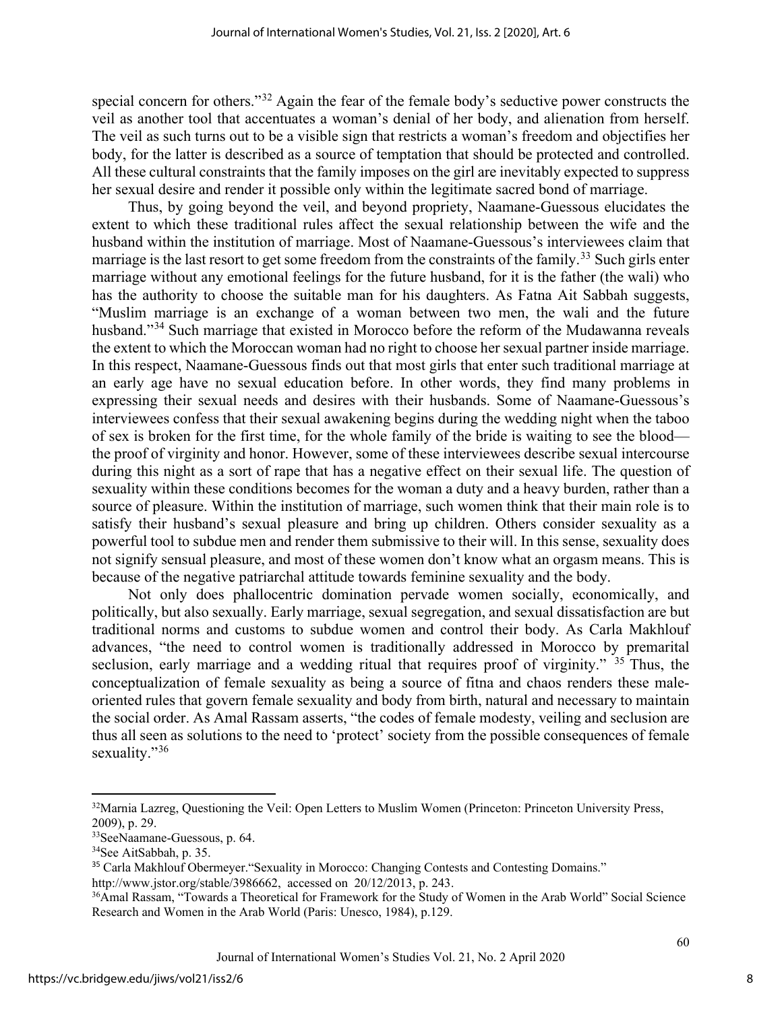special concern for others."[32](#page-8-0) Again the fear of the female body's seductive power constructs the veil as another tool that accentuates a woman's denial of her body, and alienation from herself. The veil as such turns out to be a visible sign that restricts a woman's freedom and objectifies her body, for the latter is described as a source of temptation that should be protected and controlled. All these cultural constraints that the family imposes on the girl are inevitably expected to suppress her sexual desire and render it possible only within the legitimate sacred bond of marriage.

Thus, by going beyond the veil, and beyond propriety, Naamane-Guessous elucidates the extent to which these traditional rules affect the sexual relationship between the wife and the husband within the institution of marriage. Most of Naamane-Guessous's interviewees claim that marriage is the last resort to get some freedom from the constraints of the family.<sup>[33](#page-8-1)</sup> Such girls enter marriage without any emotional feelings for the future husband, for it is the father (the wali) who has the authority to choose the suitable man for his daughters. As Fatna Ait Sabbah suggests, "Muslim marriage is an exchange of a woman between two men, the wali and the future husband."<sup>[34](#page-8-2)</sup> Such marriage that existed in Morocco before the reform of the Mudawanna reveals the extent to which the Moroccan woman had no right to choose her sexual partner inside marriage. In this respect, Naamane-Guessous finds out that most girls that enter such traditional marriage at an early age have no sexual education before. In other words, they find many problems in expressing their sexual needs and desires with their husbands. Some of Naamane-Guessous's interviewees confess that their sexual awakening begins during the wedding night when the taboo of sex is broken for the first time, for the whole family of the bride is waiting to see the blood the proof of virginity and honor. However, some of these interviewees describe sexual intercourse during this night as a sort of rape that has a negative effect on their sexual life. The question of sexuality within these conditions becomes for the woman a duty and a heavy burden, rather than a source of pleasure. Within the institution of marriage, such women think that their main role is to satisfy their husband's sexual pleasure and bring up children. Others consider sexuality as a powerful tool to subdue men and render them submissive to their will. In this sense, sexuality does not signify sensual pleasure, and most of these women don't know what an orgasm means. This is because of the negative patriarchal attitude towards feminine sexuality and the body.

Not only does phallocentric domination pervade women socially, economically, and politically, but also sexually. Early marriage, sexual segregation, and sexual dissatisfaction are but traditional norms and customs to subdue women and control their body. As Carla Makhlouf advances, "the need to control women is traditionally addressed in Morocco by premarital seclusion, early marriage and a wedding ritual that requires proof of virginity." <sup>[35](#page-8-3)</sup> Thus, the conceptualization of female sexuality as being a source of fitna and chaos renders these maleoriented rules that govern female sexuality and body from birth, natural and necessary to maintain the social order. As Amal Rassam asserts, "the codes of female modesty, veiling and seclusion are thus all seen as solutions to the need to 'protect' society from the possible consequences of female sexuality."<sup>[36](#page-8-4)</sup>

<span id="page-8-0"></span><sup>&</sup>lt;sup>32</sup>Marnia Lazreg, Questioning the Veil: Open Letters to Muslim Women (Princeton: Princeton University Press, 2009), p. 29.

<span id="page-8-1"></span><sup>33</sup>SeeNaamane-Guessous, p. 64.

<span id="page-8-2"></span><sup>34</sup>See AitSabbah, p. 35.

<span id="page-8-3"></span><sup>&</sup>lt;sup>35</sup> Carla Makhlouf Obermeyer. "Sexuality in Morocco: Changing Contests and Contesting Domains." [http://www.jstor.org/stable/3986662,](http://www.jstor.org/stable/3986662) accessed on 20/12/2013, p. 243.

<span id="page-8-4"></span><sup>&</sup>lt;sup>36</sup>Amal Rassam, "Towards a Theoretical for Framework for the Study of Women in the Arab World" Social Science Research and Women in the Arab World (Paris: Unesco, 1984), p.129.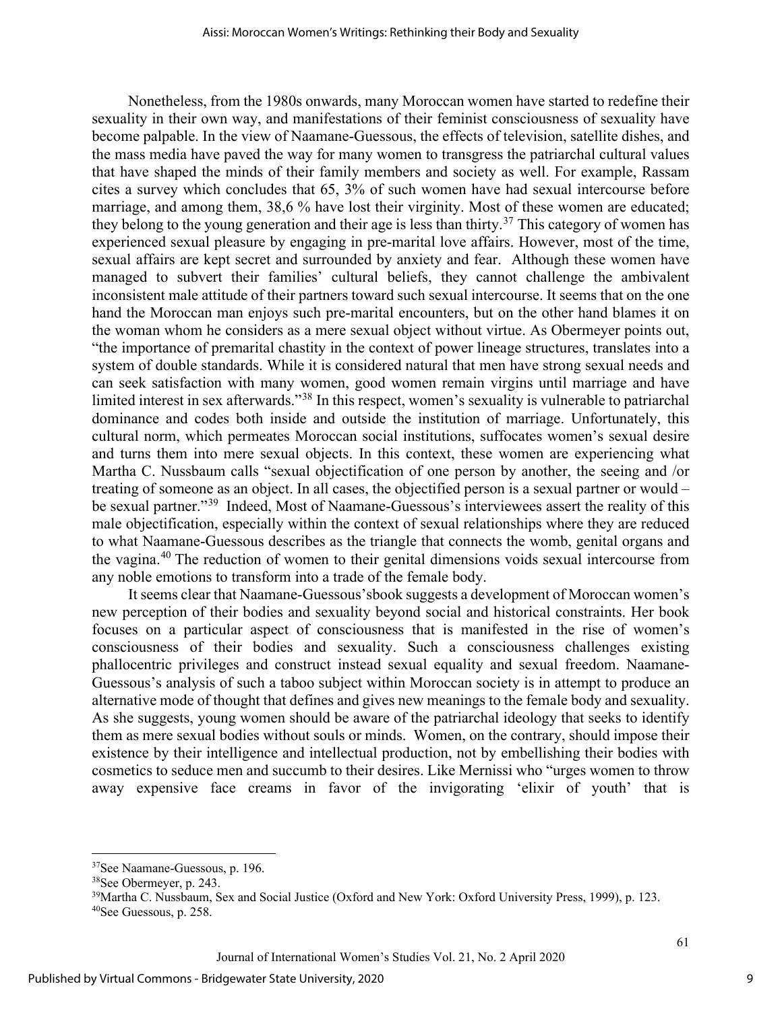Nonetheless, from the 1980s onwards, many Moroccan women have started to redefine their sexuality in their own way, and manifestations of their feminist consciousness of sexuality have become palpable. In the view of Naamane-Guessous, the effects of television, satellite dishes, and the mass media have paved the way for many women to transgress the patriarchal cultural values that have shaped the minds of their family members and society as well. For example, Rassam cites a survey which concludes that 65, 3% of such women have had sexual intercourse before marriage, and among them, 38,6 % have lost their virginity. Most of these women are educated; they belong to the young generation and their age is less than thirty.<sup>[37](#page-9-0)</sup> This category of women has experienced sexual pleasure by engaging in pre-marital love affairs. However, most of the time, sexual affairs are kept secret and surrounded by anxiety and fear. Although these women have managed to subvert their families' cultural beliefs, they cannot challenge the ambivalent inconsistent male attitude of their partners toward such sexual intercourse. It seems that on the one hand the Moroccan man enjoys such pre-marital encounters, but on the other hand blames it on the woman whom he considers as a mere sexual object without virtue. As Obermeyer points out, "the importance of premarital chastity in the context of power lineage structures, translates into a system of double standards. While it is considered natural that men have strong sexual needs and can seek satisfaction with many women, good women remain virgins until marriage and have limited interest in sex afterwards."<sup>[38](#page-9-1)</sup> In this respect, women's sexuality is vulnerable to patriarchal dominance and codes both inside and outside the institution of marriage. Unfortunately, this cultural norm, which permeates Moroccan social institutions, suffocates women's sexual desire and turns them into mere sexual objects. In this context, these women are experiencing what Martha C. Nussbaum calls "sexual objectification of one person by another, the seeing and /or treating of someone as an object. In all cases, the objectified person is a sexual partner or would – be sexual partner."[39](#page-9-2) Indeed, Most of Naamane-Guessous's interviewees assert the reality of this male objectification, especially within the context of sexual relationships where they are reduced to what Naamane-Guessous describes as the triangle that connects the womb, genital organs and the vagina.[40](#page-9-3) The reduction of women to their genital dimensions voids sexual intercourse from any noble emotions to transform into a trade of the female body.

It seems clear that Naamane-Guessous'sbook suggests a development of Moroccan women's new perception of their bodies and sexuality beyond social and historical constraints. Her book focuses on a particular aspect of consciousness that is manifested in the rise of women's consciousness of their bodies and sexuality. Such a consciousness challenges existing phallocentric privileges and construct instead sexual equality and sexual freedom. Naamane-Guessous's analysis of such a taboo subject within Moroccan society is in attempt to produce an alternative mode of thought that defines and gives new meanings to the female body and sexuality. As she suggests, young women should be aware of the patriarchal ideology that seeks to identify them as mere sexual bodies without souls or minds. Women, on the contrary, should impose their existence by their intelligence and intellectual production, not by embellishing their bodies with cosmetics to seduce men and succumb to their desires. Like Mernissi who "urges women to throw away expensive face creams in favor of the invigorating 'elixir of youth' that is

<span id="page-9-0"></span><sup>37</sup>See Naamane-Guessous, p. 196.

<sup>38</sup>See Obermeyer, p. 243.

<sup>39</sup>Martha C. Nussbaum, Sex and Social Justice (Oxford and New York: Oxford University Press, 1999), p. 123.

<span id="page-9-3"></span><span id="page-9-2"></span><span id="page-9-1"></span><sup>40</sup>See Guessous, p. 258.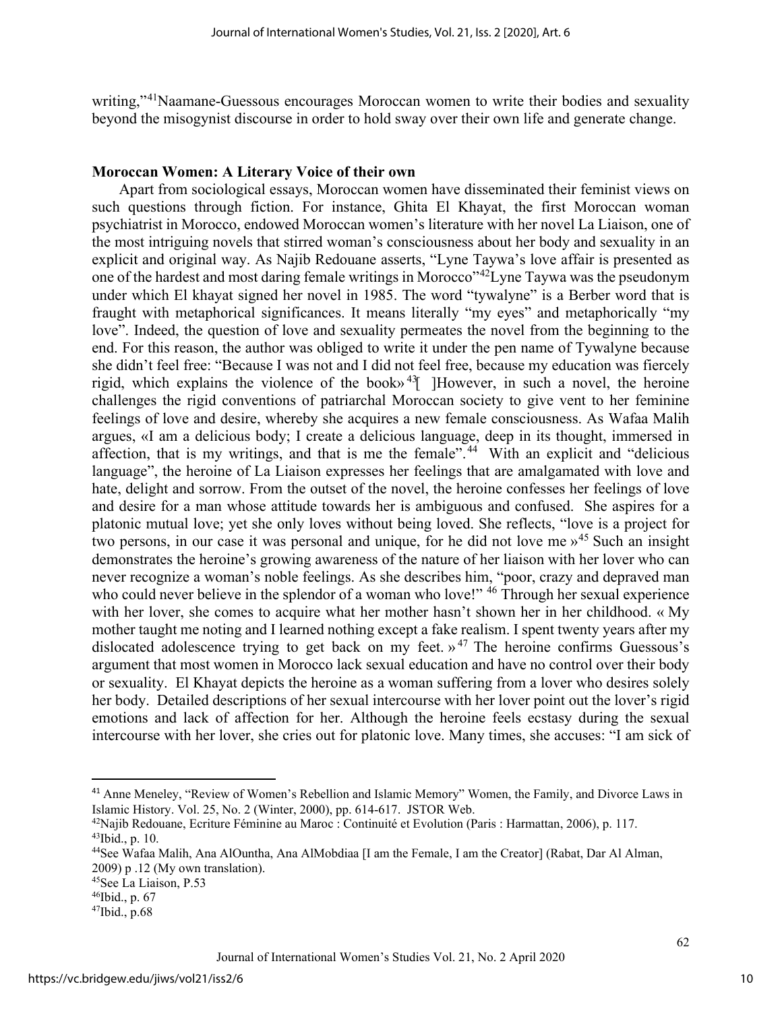writing,"<sup>41</sup>Naamane-Guessous encourages Moroccan women to write their bodies and sexuality beyond the misogynist discourse in order to hold sway over their own life and generate change.

#### **Moroccan Women: A Literary Voice of their own**

Apart from sociological essays, Moroccan women have disseminated their feminist views on such questions through fiction. For instance, Ghita El Khayat, the first Moroccan woman psychiatrist in Morocco, endowed Moroccan women's literature with her novel La Liaison, one of the most intriguing novels that stirred woman's consciousness about her body and sexuality in an explicit and original way. As Najib Redouane asserts, "Lyne Taywa's love affair is presented as one of the hardest and most daring female writings in Morocco<sup>442</sup>Lyne Taywa was the pseudonym under which El khayat signed her novel in 1985. The word "tywalyne" is a Berber word that is fraught with metaphorical significances. It means literally "my eyes" and metaphorically "my love". Indeed, the question of love and sexuality permeates the novel from the beginning to the end. For this reason, the author was obliged to write it under the pen name of Tywalyne because she didn't feel free: "Because I was not and I did not feel free, because my education was fiercely rigid, which explains the violence of the book»<sup>43</sup> [However, in such a novel, the heroine challenges the rigid conventions of patriarchal Moroccan society to give vent to her feminine feelings of love and desire, whereby she acquires a new female consciousness. As Wafaa Malih argues, «I am a delicious body; I create a delicious language, deep in its thought, immersed in affection, that is my writings, and that is me the female".<sup>[44](#page-10-3)</sup> With an explicit and "delicious" language", the heroine of La Liaison expresses her feelings that are amalgamated with love and hate, delight and sorrow. From the outset of the novel, the heroine confesses her feelings of love and desire for a man whose attitude towards her is ambiguous and confused. She aspires for a platonic mutual love; yet she only loves without being loved. She reflects, "love is a project for two persons, in our case it was personal and unique, for he did not love me  $v^{45}$  $v^{45}$  $v^{45}$  Such an insight demonstrates the heroine's growing awareness of the nature of her liaison with her lover who can never recognize a woman's noble feelings. As she describes him, "poor, crazy and depraved man who could never believe in the splendor of a woman who love!" <sup>[46](#page-10-5)</sup> Through her sexual experience with her lover, she comes to acquire what her mother hasn't shown her in her childhood. « My mother taught me noting and I learned nothing except a fake realism. I spent twenty years after my dislocated adolescence trying to get back on my feet. »<sup>[47](#page-10-6)</sup> The heroine confirms Guessous's argument that most women in Morocco lack sexual education and have no control over their body or sexuality. El Khayat depicts the heroine as a woman suffering from a lover who desires solely her body. Detailed descriptions of her sexual intercourse with her lover point out the lover's rigid emotions and lack of affection for her. Although the heroine feels ecstasy during the sexual intercourse with her lover, she cries out for platonic love. Many times, she accuses: "I am sick of

<span id="page-10-0"></span><sup>41</sup> Anne Meneley, "Review of Women's Rebellion and Islamic Memory" Women, the Family, and Divorce Laws in Islamic History. Vol. 25, No. 2 (Winter, 2000), pp. 614-617. JSTOR Web.

<span id="page-10-2"></span><span id="page-10-1"></span><sup>42</sup>Najib Redouane, Ecriture Féminine au Maroc : Continuité et Evolution (Paris : Harmattan, 2006), p. 117. 43Ibid., p. 10.

<span id="page-10-3"></span><sup>44</sup>See Wafaa Malih, Ana AlOuntha, Ana AlMobdiaa [I am the Female, I am the Creator] (Rabat, Dar Al Alman, 2009) p .12 (My own translation).

<span id="page-10-4"></span><sup>45</sup>See La Liaison, P.53

<span id="page-10-5"></span> $^{46}$ Ibid., p. 67<br> $^{47}$ Ibid., p.68

<span id="page-10-6"></span>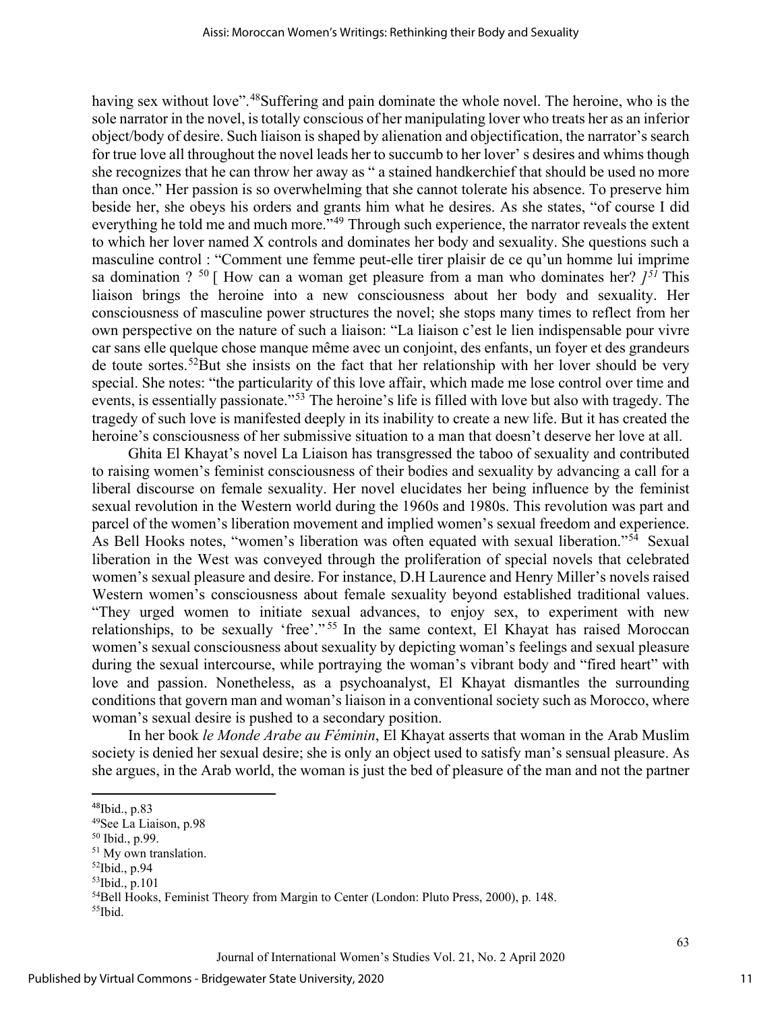having sex without love".<sup>48</sup>Suffering and pain dominate the whole novel. The heroine, who is the sole narrator in the novel, is totally conscious of her manipulating lover who treats her as an inferior object/body of desire. Such liaison is shaped by alienation and objectification, the narrator's search for true love all throughout the novel leads her to succumb to her lover' s desires and whims though she recognizes that he can throw her away as " a stained handkerchief that should be used no more than once." Her passion is so overwhelming that she cannot tolerate his absence. To preserve him beside her, she obeys his orders and grants him what he desires. As she states, "of course I did everything he told me and much more."<sup>[49](#page-11-1)</sup> Through such experience, the narrator reveals the extent to which her lover named X controls and dominates her body and sexuality. She questions such a masculine control : "Comment une femme peut-elle tirer plaisir de ce qu'un homme lui imprime sa domination ?  $50$  [ How can a woman get pleasure from a man who dominates her?  $j^{51}$  $j^{51}$  $j^{51}$  This liaison brings the heroine into a new consciousness about her body and sexuality. Her consciousness of masculine power structures the novel; she stops many times to reflect from her own perspective on the nature of such a liaison: "La liaison c'est le lien indispensable pour vivre car sans elle quelque chose manque même avec un conjoint, des enfants, un foyer et des grandeurs de toute sortes.<sup>52</sup>But she insists on the fact that her relationship with her lover should be very special. She notes: "the particularity of this love affair, which made me lose control over time and events, is essentially passionate."[53](#page-11-5) The heroine's life is filled with love but also with tragedy. The tragedy of such love is manifested deeply in its inability to create a new life. But it has created the heroine's consciousness of her submissive situation to a man that doesn't deserve her love at all.

Ghita El Khayat's novel La Liaison has transgressed the taboo of sexuality and contributed to raising women's feminist consciousness of their bodies and sexuality by advancing a call for a liberal discourse on female sexuality. Her novel elucidates her being influence by the feminist sexual revolution in the Western world during the 1960s and 1980s. This revolution was part and parcel of the women's liberation movement and implied women's sexual freedom and experience. As Bell Hooks notes, "women's liberation was often equated with sexual liberation."<sup>[54](#page-11-6)</sup> Sexual liberation in the West was conveyed through the proliferation of special novels that celebrated women's sexual pleasure and desire. For instance, D.H Laurence and Henry Miller's novels raised Western women's consciousness about female sexuality beyond established traditional values. "They urged women to initiate sexual advances, to enjoy sex, to experiment with new relationships, to be sexually 'free'." [55](#page-11-7) In the same context, El Khayat has raised Moroccan women's sexual consciousness about sexuality by depicting woman's feelings and sexual pleasure during the sexual intercourse, while portraying the woman's vibrant body and "fired heart" with love and passion. Nonetheless, as a psychoanalyst, El Khayat dismantles the surrounding conditions that govern man and woman's liaison in a conventional society such as Morocco, where woman's sexual desire is pushed to a secondary position.

In her book *le Monde Arabe au Féminin*, El Khayat asserts that woman in the Arab Muslim society is denied her sexual desire; she is only an object used to satisfy man's sensual pleasure. As she argues, in the Arab world, the woman is just the bed of pleasure of the man and not the partner

<span id="page-11-0"></span><sup>48</sup>Ibid., p.83

<span id="page-11-1"></span><sup>49</sup>See La Liaison, p.98

<span id="page-11-2"></span><sup>50</sup> Ibid., p.99.

<span id="page-11-3"></span><sup>&</sup>lt;sup>51</sup> My own translation.

<span id="page-11-4"></span><sup>52</sup>Ibid., p.94

<span id="page-11-5"></span><sup>53</sup>Ibid., p.101

<span id="page-11-7"></span><span id="page-11-6"></span><sup>&</sup>lt;sup>54</sup>Bell Hooks, Feminist Theory from Margin to Center (London: Pluto Press, 2000), p. 148. 55Ibid.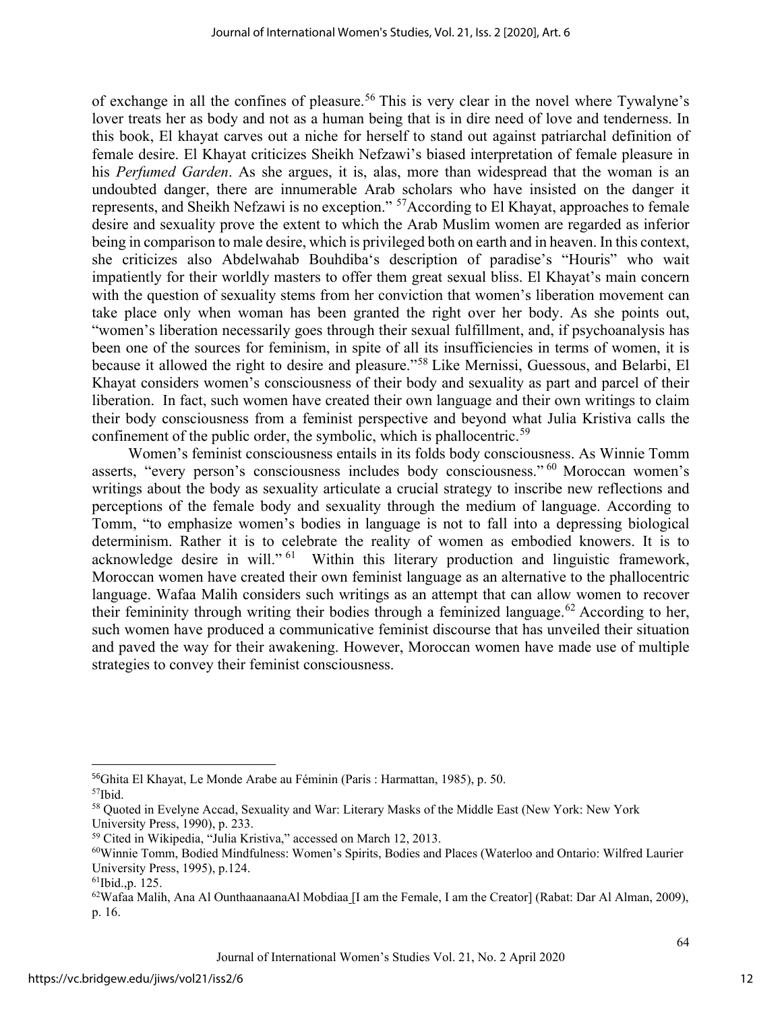of exchange in all the confines of pleasure.<sup>[56](#page-12-0)</sup> This is very clear in the novel where Tywalyne's lover treats her as body and not as a human being that is in dire need of love and tenderness. In this book, El khayat carves out a niche for herself to stand out against patriarchal definition of female desire. El Khayat criticizes Sheikh Nefzawi's biased interpretation of female pleasure in his *Perfumed Garden*. As she argues, it is, alas, more than widespread that the woman is an undoubted danger, there are innumerable Arab scholars who have insisted on the danger it represents, and Sheikh Nefzawi is no exception." [57A](#page-12-1)ccording to El Khayat, approaches to female desire and sexuality prove the extent to which the Arab Muslim women are regarded as inferior being in comparison to male desire, which is privileged both on earth and in heaven. In this context, she criticizes also Abdelwahab Bouhdiba's description of paradise's "Houris" who wait impatiently for their worldly masters to offer them great sexual bliss. El Khayat's main concern with the question of sexuality stems from her conviction that women's liberation movement can take place only when woman has been granted the right over her body. As she points out, "women's liberation necessarily goes through their sexual fulfillment, and, if psychoanalysis has been one of the sources for feminism, in spite of all its insufficiencies in terms of women, it is because it allowed the right to desire and pleasure."[58](#page-12-2) Like Mernissi, Guessous, and Belarbi, El Khayat considers women's consciousness of their body and sexuality as part and parcel of their liberation. In fact, such women have created their own language and their own writings to claim their body consciousness from a feminist perspective and beyond what Julia Kristiva calls the confinement of the public order, the symbolic, which is phallocentric.<sup>[59](#page-12-3)</sup>

Women's feminist consciousness entails in its folds body consciousness. As Winnie Tomm asserts, "every person's consciousness includes body consciousness." [60](#page-12-4) Moroccan women's writings about the body as sexuality articulate a crucial strategy to inscribe new reflections and perceptions of the female body and sexuality through the medium of language. According to Tomm, "to emphasize women's bodies in language is not to fall into a depressing biological determinism. Rather it is to celebrate the reality of women as embodied knowers. It is to acknowledge desire in will."<sup>[61](#page-12-5)</sup> Within this literary production and linguistic framework, Moroccan women have created their own feminist language as an alternative to the phallocentric language. Wafaa Malih considers such writings as an attempt that can allow women to recover their femininity through writing their bodies through a feminized language.<sup>[62](#page-12-6)</sup> According to her, such women have produced a communicative feminist discourse that has unveiled their situation and paved the way for their awakening. However, Moroccan women have made use of multiple strategies to convey their feminist consciousness.

<span id="page-12-0"></span><sup>56</sup>Ghita El Khayat, Le Monde Arabe au Féminin (Paris : Harmattan, 1985), p. 50.

<span id="page-12-1"></span><sup>57</sup>Ibid.

<span id="page-12-2"></span><sup>58</sup> Quoted in Evelyne Accad, Sexuality and War: Literary Masks of the Middle East (New York: New York University Press, 1990), p. 233.

<span id="page-12-3"></span><sup>59</sup> Cited in Wikipedia, "Julia Kristiva," accessed on March 12, 2013.

<span id="page-12-4"></span><sup>60</sup>Winnie Tomm, Bodied Mindfulness: Women's Spirits, Bodies and Places (Waterloo and Ontario: Wilfred Laurier University Press, 1995), p.124.

<span id="page-12-6"></span><span id="page-12-5"></span><sup>61</sup>Ibid.,p. 125.

 $62$ Wafaa Malih, Ana Al OunthaanaanaAl Mobdiaa [I am the Female, I am the Creator] (Rabat: Dar Al Alman, 2009), p. 16.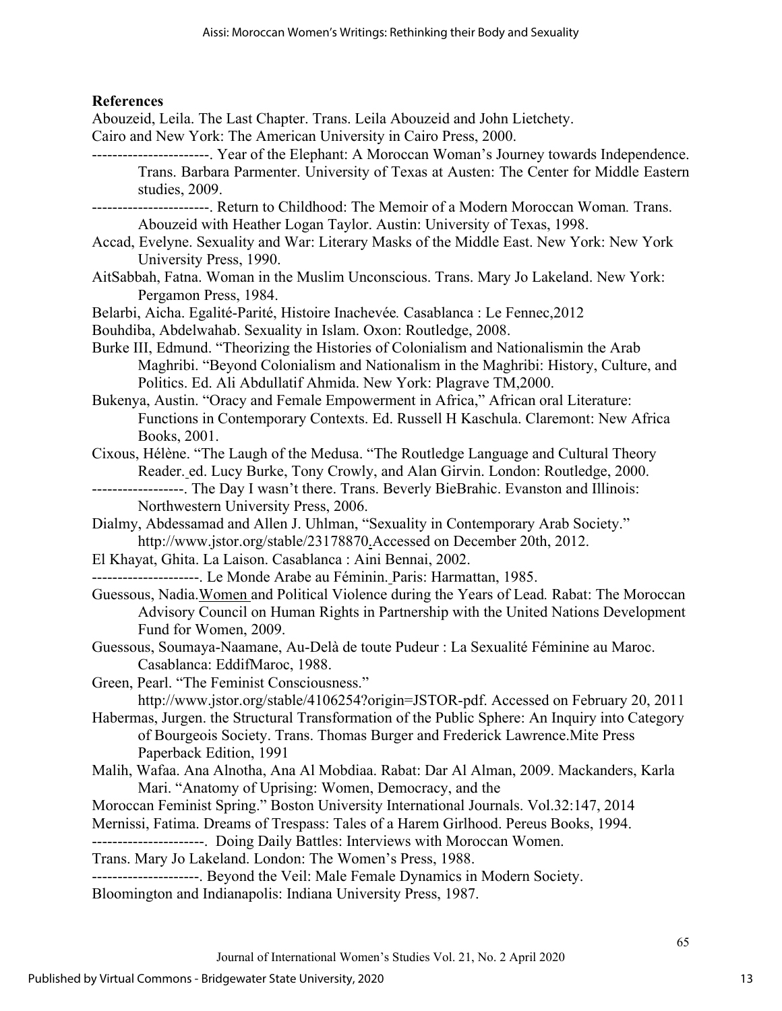### **References**

Abouzeid, Leila. The Last Chapter. Trans. Leila Abouzeid and John Lietchety. Cairo and New York: The American University in Cairo Press, 2000. -----------------------. Year of the Elephant: A Moroccan Woman's Journey towards Independence. Trans. Barbara Parmenter. University of Texas at Austen: The Center for Middle Eastern studies, 2009. -----------------------. Return to Childhood: The Memoir of a Modern Moroccan Woman*.* Trans. Abouzeid with Heather Logan Taylor. Austin: University of Texas, 1998. Accad, Evelyne. Sexuality and War: Literary Masks of the Middle East. New York: New York University Press, 1990. AitSabbah, Fatna. Woman in the Muslim Unconscious. Trans. Mary Jo Lakeland. New York: Pergamon Press, 1984. Belarbi, Aicha. Egalité-Parité, Histoire Inachevée*.* Casablanca : Le Fennec,2012 Bouhdiba, Abdelwahab. Sexuality in Islam. Oxon: Routledge, 2008. Burke III, Edmund. "Theorizing the Histories of Colonialism and Nationalismin the Arab Maghribi. "Beyond Colonialism and Nationalism in the Maghribi: History, Culture, and Politics. Ed. Ali Abdullatif Ahmida. New York: Plagrave TM,2000. Bukenya, Austin. "Oracy and Female Empowerment in Africa," African oral Literature: Functions in Contemporary Contexts. Ed. Russell H Kaschula. Claremont: New Africa Books, 2001. Cixous, Hélène. "The Laugh of the Medusa. "The Routledge Language and Cultural Theory Reader. ed. Lucy Burke, Tony Crowly, and Alan Girvin. London: Routledge, 2000. ------------------. The Day I wasn't there. Trans. Beverly BieBrahic. Evanston and Illinois: Northwestern University Press, 2006. Dialmy, Abdessamad and Allen J. Uhlman, "Sexuality in Contemporary Arab Society." http://www.jstor.org/stable/23178870.Accessed on December 20th, 2012. El Khayat, Ghita. La Laison. Casablanca : Aini Bennai, 2002. ---------------------. Le Monde Arabe au Féminin. Paris: Harmattan, 1985. Guessous, Nadia.Women and Political Violence during the Years of Lead*.* Rabat: The Moroccan Advisory Council on Human Rights in Partnership with the United Nations Development Fund for Women, 2009. Guessous, Soumaya-Naamane, Au-Delà de toute Pudeur : La Sexualité Féminine au Maroc. Casablanca: EddifMaroc, 1988. Green, Pearl. "The Feminist Consciousness." http://www.jstor.org/stable/4106254?origin=JSTOR-pdf. Accessed on February 20, 2011 Habermas, Jurgen. the Structural Transformation of the Public Sphere: An Inquiry into Category of Bourgeois Society. Trans. Thomas Burger and Frederick Lawrence.Mite Press Paperback Edition, 1991 Malih, Wafaa. Ana Alnotha, Ana Al Mobdiaa. Rabat: Dar Al Alman, 2009. Mackanders, Karla Mari. "Anatomy of Uprising: Women, Democracy, and the Moroccan Feminist Spring." Boston University International Journals. Vol.32:147, 2014 Mernissi, Fatima. Dreams of Trespass: Tales of a Harem Girlhood. Pereus Books, 1994. ----------------------. Doing Daily Battles: Interviews with Moroccan Women. Trans. Mary Jo Lakeland. London: The Women's Press, 1988. ---------------------. Beyond the Veil: Male Female Dynamics in Modern Society. Bloomington and Indianapolis: Indiana University Press, 1987.